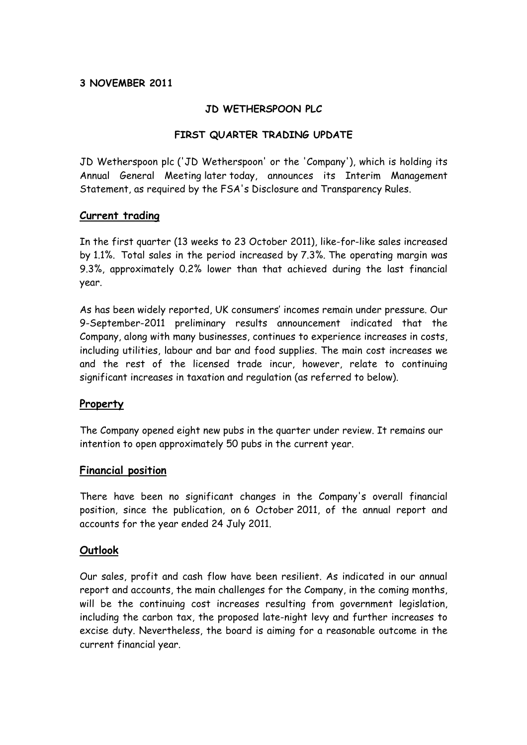## **3 NOVEMBER 2011**

### **JD WETHERSPOON PLC**

## **FIRST QUARTER TRADING UPDATE**

JD Wetherspoon plc ('JD Wetherspoon' or the 'Company'), which is holding its Annual General Meeting later today, announces its Interim Management Statement, as required by the FSA's Disclosure and Transparency Rules.

#### **Current trading**

In the first quarter (13 weeks to 23 October 2011), like-for-like sales increased by 1.1%. Total sales in the period increased by 7.3%. The operating margin was 9.3%, approximately 0.2% lower than that achieved during the last financial year.

As has been widely reported, UK consumers' incomes remain under pressure. Our 9-September-2011 preliminary results announcement indicated that the Company, along with many businesses, continues to experience increases in costs, including utilities, labour and bar and food supplies. The main cost increases we and the rest of the licensed trade incur, however, relate to continuing significant increases in taxation and regulation (as referred to below).

#### **Property**

The Company opened eight new pubs in the quarter under review. It remains our intention to open approximately 50 pubs in the current year.

#### **Financial position**

There have been no significant changes in the Company's overall financial position, since the publication, on 6 October 2011, of the annual report and accounts for the year ended 24 July 2011.

#### **Outlook**

Our sales, profit and cash flow have been resilient. As indicated in our annual report and accounts, the main challenges for the Company, in the coming months, will be the continuing cost increases resulting from government legislation, including the carbon tax, the proposed late-night levy and further increases to excise duty. Nevertheless, the board is aiming for a reasonable outcome in the current financial year.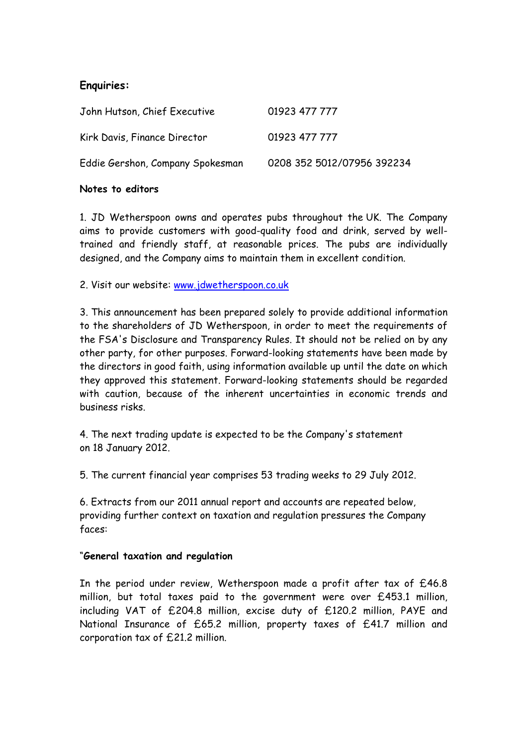# **Enquiries:**

| John Hutson, Chief Executive     | 01923 477 777              |
|----------------------------------|----------------------------|
| Kirk Davis, Finance Director     | 01923 477 777              |
| Eddie Gershon, Company Spokesman | 0208 352 5012/07956 392234 |

#### **Notes to editors**

1. JD Wetherspoon owns and operates pubs throughout the UK. The Company aims to provide customers with good-quality food and drink, served by welltrained and friendly staff, at reasonable prices. The pubs are individually designed, and the Company aims to maintain them in excellent condition.

2. Visit our website: [www.jdwetherspoon.co.uk](http://www.jdwetherspoon.co.uk/)

3. This announcement has been prepared solely to provide additional information to the shareholders of JD Wetherspoon, in order to meet the requirements of the FSA's Disclosure and Transparency Rules. It should not be relied on by any other party, for other purposes. Forward-looking statements have been made by the directors in good faith, using information available up until the date on which they approved this statement. Forward-looking statements should be regarded with caution, because of the inherent uncertainties in economic trends and business risks.

4. The next trading update is expected to be the Company's statement on 18 January 2012.

5. The current financial year comprises 53 trading weeks to 29 July 2012.

6. Extracts from our 2011 annual report and accounts are repeated below, providing further context on taxation and regulation pressures the Company faces:

#### "**General taxation and regulation**

In the period under review, Wetherspoon made a profit after tax of £46.8 million, but total taxes paid to the government were over £453.1 million, including VAT of £204.8 million, excise duty of £120.2 million, PAYE and National Insurance of £65.2 million, property taxes of £41.7 million and corporation tax of £21.2 million.